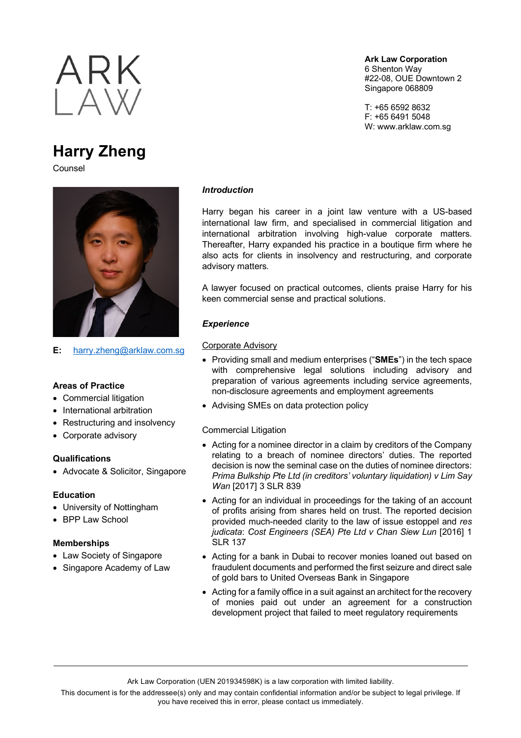

# **Harry Zheng**

Counsel



harry.zheng@arklaw.com.sg **E:**

# **Areas of Practice**

- Commercial litigation
- International arbitration
- Restructuring and insolvency
- Corporate advisory

# **Qualifications**

• Advocate & Solicitor, Singapore

#### **Education**

- University of Nottingham
- BPP Law School

# **Memberships**

- Law Society of Singapore
- Singapore Academy of Law

**Ark Law Corporation** 6 Shenton Way #22-08, OUE Downtown 2 Singapore 068809

T: +65 6592 8632 F: +65 6491 5048 W: www.arklaw.com.sg

#### *Introduction*

Harry began his career in a joint law venture with a US-based international law firm, and specialised in commercial litigation and international arbitration involving high-value corporate matters. Thereafter, Harry expanded his practice in a boutique firm where he also acts for clients in insolvency and restructuring, and corporate advisory matters.

A lawyer focused on practical outcomes, clients praise Harry for his keen commercial sense and practical solutions.

# *Experience*

#### Corporate Advisory

- Providing small and medium enterprises ("**SMEs**") in the tech space with comprehensive legal solutions including advisory and preparation of various agreements including service agreements, non-disclosure agreements and employment agreements
- Advising SMEs on data protection policy

#### Commercial Litigation

- Acting for a nominee director in a claim by creditors of the Company relating to a breach of nominee directors' duties. The reported decision is now the seminal case on the duties of nominee directors: *Prima Bulkship Pte Ltd (in creditors' voluntary liquidation) v Lim Say Wan* [2017] 3 SLR 839
- Acting for an individual in proceedings for the taking of an account of profits arising from shares held on trust. The reported decision provided much-needed clarity to the law of issue estoppel and *res judicata*: *Cost Engineers (SEA) Pte Ltd v Chan Siew Lun* [2016] 1 SLR 137
- Acting for a bank in Dubai to recover monies loaned out based on fraudulent documents and performed the first seizure and direct sale of gold bars to United Overseas Bank in Singapore
- Acting for a family office in a suit against an architect for the recovery of monies paid out under an agreement for a construction development project that failed to meet regulatory requirements

This document is for the addressee(s) only and may contain confidential information and/or be subject to legal privilege. If you have received this in error, please contact us immediately.

Ark Law Corporation (UEN 201934598K) is a law corporation with limited liability.